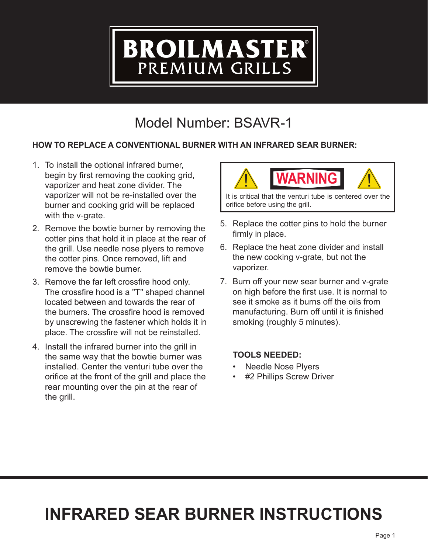# BROILMASTER®

# Model Number: BSAVR-1

#### **HOW TO REPLACE A CONVENTIONAL BURNER WITH AN INFRARED SEAR BURNER:**

- 1. To install the optional infrared burner, begin by first removing the cooking grid, vaporizer and heat zone divider. The vaporizer will not be re-installed over the burner and cooking grid will be replaced with the v-grate.
- 2. Remove the bowtie burner by removing the cotter pins that hold it in place at the rear of the grill. Use needle nose plyers to remove the cotter pins. Once removed, lift and remove the bowtie burner.
- 3. Remove the far left crossfire hood only. The crossfire hood is a "T" shaped channel located between and towards the rear of the burners. The crossfire hood is removed by unscrewing the fastener which holds it in place. The crossfire will not be reinstalled.
- 4. Install the infrared burner into the grill in the same way that the bowtie burner was installed. Center the venturi tube over the orifice at the front of the grill and place the rear mounting over the pin at the rear of the grill.



It is critical that the venturi tube is centered over the orifice before using the grill.

- 5. Replace the cotter pins to hold the burner firmly in place.
- 6. Replace the heat zone divider and install the new cooking v-grate, but not the vaporizer.
- 7. Burn off your new sear burner and v-grate on high before the first use. It is normal to see it smoke as it burns off the oils from manufacturing. Burn off until it is finished smoking (roughly 5 minutes).

#### **TOOLS NEEDED:**

- Needle Nose Plyers
- #2 Phillips Screw Driver

# **INFRARED SEAR BURNER INSTRUCTIONS**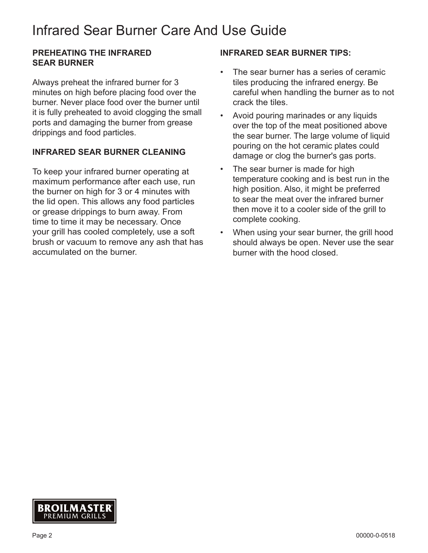### Infrared Sear Burner Care And Use Guide

#### **PREHEATING THE INFRARED SEAR BURNER**

Always preheat the infrared burner for 3 minutes on high before placing food over the burner. Never place food over the burner until it is fully preheated to avoid clogging the small ports and damaging the burner from grease drippings and food particles.

#### **INFRARED SEAR BURNER CLEANING**

To keep your infrared burner operating at maximum performance after each use, run the burner on high for 3 or 4 minutes with the lid open. This allows any food particles or grease drippings to burn away. From time to time it may be necessary. Once your grill has cooled completely, use a soft brush or vacuum to remove any ash that has accumulated on the burner.

#### **INFRARED SEAR BURNER TIPS:**

- The sear burner has a series of ceramic tiles producing the infrared energy. Be careful when handling the burner as to not crack the tiles.
- Avoid pouring marinades or any liquids over the top of the meat positioned above the sear burner. The large volume of liquid pouring on the hot ceramic plates could damage or clog the burner's gas ports.
- The sear burner is made for high temperature cooking and is best run in the high position. Also, it might be preferred to sear the meat over the infrared burner then move it to a cooler side of the grill to complete cooking.
- When using your sear burner, the grill hood should always be open. Never use the sear burner with the hood closed.

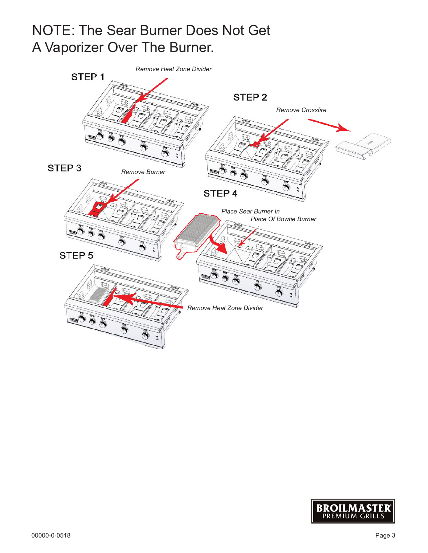## NOTE: The Sear Burner Does Not Get A Vaporizer Over The Burner.



![](_page_2_Picture_2.jpeg)